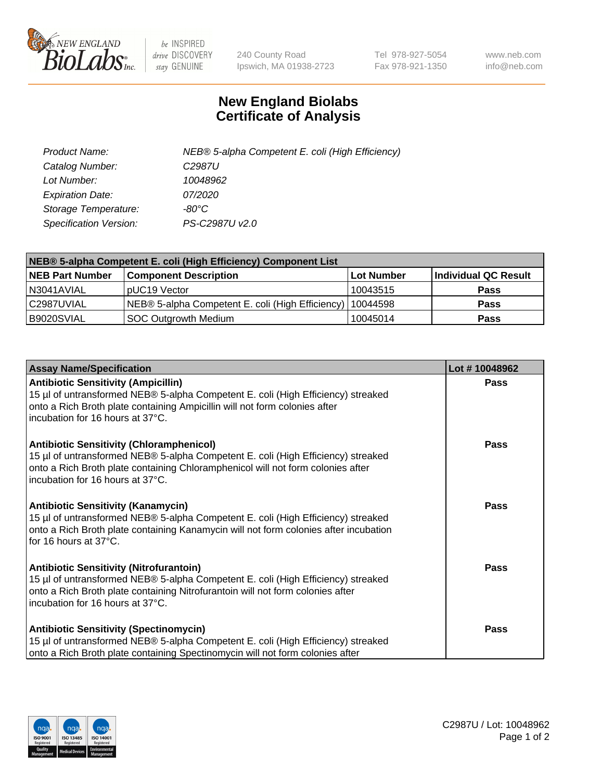

 $be$  INSPIRED drive DISCOVERY stay GENUINE

240 County Road Ipswich, MA 01938-2723 Tel 978-927-5054 Fax 978-921-1350 www.neb.com info@neb.com

## **New England Biolabs Certificate of Analysis**

| Product Name:                 | NEB® 5-alpha Competent E. coli (High Efficiency) |
|-------------------------------|--------------------------------------------------|
| Catalog Number:               | C <sub>2987</sub> U                              |
| Lot Number:                   | 10048962                                         |
| <b>Expiration Date:</b>       | <i>07/2020</i>                                   |
| Storage Temperature:          | -80°C                                            |
| <b>Specification Version:</b> | PS-C2987U v2.0                                   |

| NEB® 5-alpha Competent E. coli (High Efficiency) Component List |                                                  |            |                      |  |
|-----------------------------------------------------------------|--------------------------------------------------|------------|----------------------|--|
| <b>NEB Part Number</b>                                          | <b>Component Description</b>                     | Lot Number | Individual QC Result |  |
| N3041AVIAL                                                      | pUC19 Vector                                     | 10043515   | <b>Pass</b>          |  |
| C2987UVIAL                                                      | NEB® 5-alpha Competent E. coli (High Efficiency) | 10044598   | <b>Pass</b>          |  |
| B9020SVIAL                                                      | <b>SOC Outgrowth Medium</b>                      | 10045014   | <b>Pass</b>          |  |

| <b>Assay Name/Specification</b>                                                                                                                                                                                                                            | Lot #10048962 |
|------------------------------------------------------------------------------------------------------------------------------------------------------------------------------------------------------------------------------------------------------------|---------------|
| <b>Antibiotic Sensitivity (Ampicillin)</b><br>15 µl of untransformed NEB® 5-alpha Competent E. coli (High Efficiency) streaked<br>onto a Rich Broth plate containing Ampicillin will not form colonies after<br>incubation for 16 hours at 37°C.           | <b>Pass</b>   |
| <b>Antibiotic Sensitivity (Chloramphenicol)</b><br>15 µl of untransformed NEB® 5-alpha Competent E. coli (High Efficiency) streaked<br>onto a Rich Broth plate containing Chloramphenicol will not form colonies after<br>incubation for 16 hours at 37°C. | Pass          |
| Antibiotic Sensitivity (Kanamycin)<br>15 µl of untransformed NEB® 5-alpha Competent E. coli (High Efficiency) streaked<br>onto a Rich Broth plate containing Kanamycin will not form colonies after incubation<br>for 16 hours at 37°C.                    | Pass          |
| <b>Antibiotic Sensitivity (Nitrofurantoin)</b><br>15 µl of untransformed NEB® 5-alpha Competent E. coli (High Efficiency) streaked<br>onto a Rich Broth plate containing Nitrofurantoin will not form colonies after<br>incubation for 16 hours at 37°C.   | <b>Pass</b>   |
| <b>Antibiotic Sensitivity (Spectinomycin)</b><br>15 µl of untransformed NEB® 5-alpha Competent E. coli (High Efficiency) streaked<br>onto a Rich Broth plate containing Spectinomycin will not form colonies after                                         | Pass          |